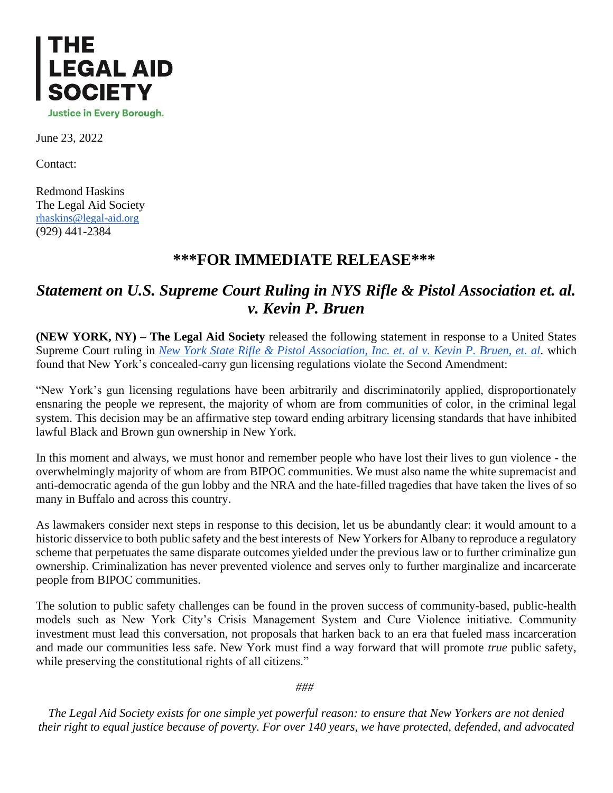

June 23, 2022

Contact:

Redmond Haskins The Legal Aid Society [rhaskins@legal-aid.org](mailto:rhaskins@legal-aid.org) (929) 441-2384

## **\*\*\*FOR IMMEDIATE RELEASE\*\*\***

## *Statement on U.S. Supreme Court Ruling in NYS Rifle & Pistol Association et. al. v. Kevin P. Bruen*

**(NEW YORK, NY) – The Legal Aid Society** released the following statement in response to a United States Supreme Court ruling in *[New York State Rifle & Pistol Association, Inc. et. al v. Kevin P. Bruen, et. al.](https://www.supremecourt.gov/opinions/21pdf/20-843_7j80.pdf)* which found that New York's concealed-carry gun licensing regulations violate the Second Amendment:

"New York's gun licensing regulations have been arbitrarily and discriminatorily applied, disproportionately ensnaring the people we represent, the majority of whom are from communities of color, in the criminal legal system. This decision may be an affirmative step toward ending arbitrary licensing standards that have inhibited lawful Black and Brown gun ownership in New York.

In this moment and always, we must honor and remember people who have lost their lives to gun violence - the overwhelmingly majority of whom are from BIPOC communities. We must also name the white supremacist and anti-democratic agenda of the gun lobby and the NRA and the hate-filled tragedies that have taken the lives of so many in Buffalo and across this country.

As lawmakers consider next steps in response to this decision, let us be abundantly clear: it would amount to a historic disservice to both public safety and the best interests of New Yorkers for Albany to reproduce a regulatory scheme that perpetuates the same disparate outcomes yielded under the previous law or to further criminalize gun ownership. Criminalization has never prevented violence and serves only to further marginalize and incarcerate people from BIPOC communities.

The solution to public safety challenges can be found in the proven success of community-based, public-health models such as New York City's Crisis Management System and Cure Violence initiative. Community investment must lead this conversation, not proposals that harken back to an era that fueled mass incarceration and made our communities less safe. New York must find a way forward that will promote *true* public safety, while preserving the constitutional rights of all citizens."

*###*

*The Legal Aid Society exists for one simple yet powerful reason: to ensure that New Yorkers are not denied their right to equal justice because of poverty. For over 140 years, we have protected, defended, and advocated*